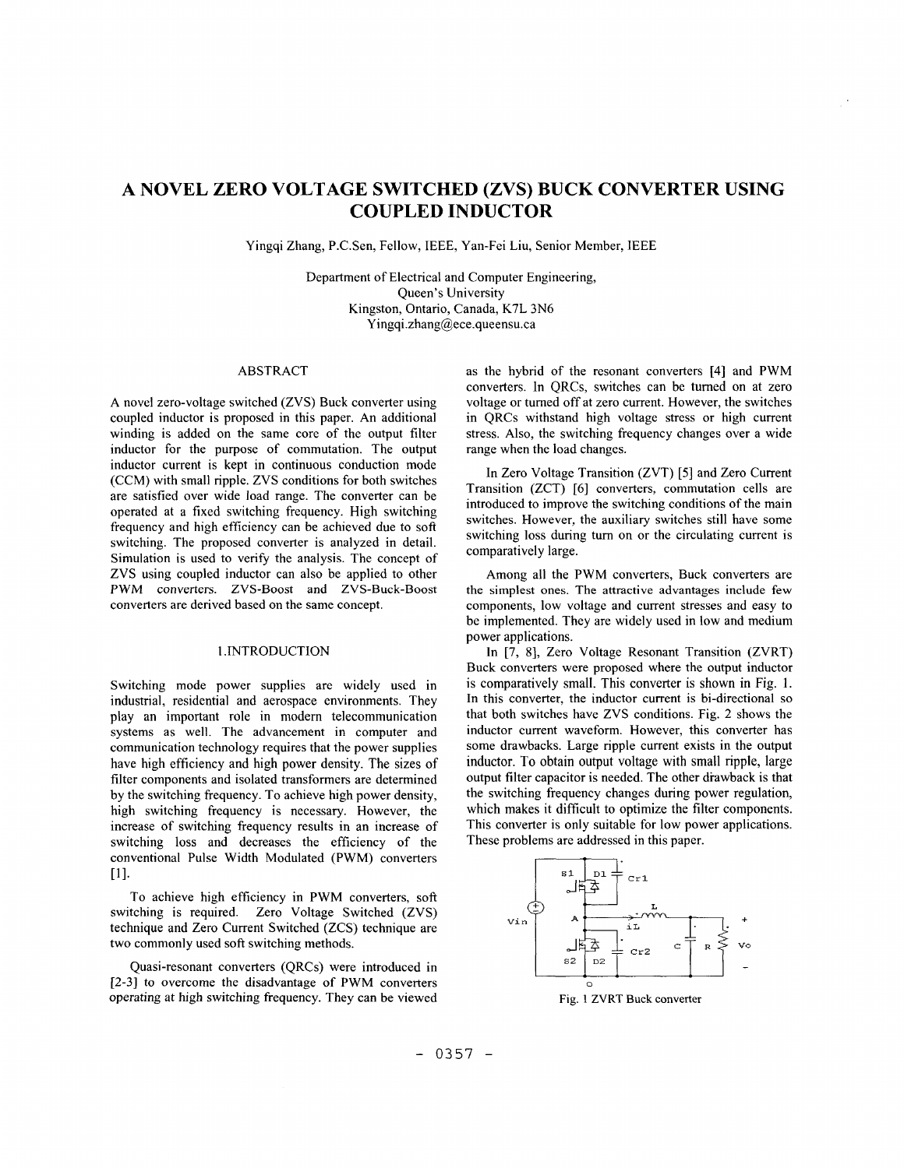# <span id="page-0-0"></span>**A NOVEL ZERO VOLTAGE SWITCHED (ZVS) BUCK CONVERTER USING COUPLED INDUCTOR**

Yingqi Zhang, P.C.Sen, Fellow, IEEE, Yan-Fei Liu, Senior Member, IEEE

Department of Electrical and Computer Engineering, Queen's University Kingston, Ontario, Canada, K7L 3N6 Yingqi.zhang@ece.queensu.ca

#### ABSTRACT

A novel zero-voltage switched (ZVS) Buck converter using coupled inductor is proposed in this paper. An additional winding is added on the same core of the output filter inductor for the purpose of commutation. The output range when the load changes. inductor current is kept in continuous conduction mode (CCM) with small ripple. ZVS conditions for both switches are satisfied over wide load range. The converter can be operated at a fixed switching frequency. High switching frequency and high efficiency can be achieved due to soft switching. The proposed converter is analyzed in detail. Simulation is used to verify the analysis. The concept of ZVS using coupled inductor can also be applied to other PWM converters. ZVS-Boost and ZVS-Buck-Boost converters are derived based on the same concept.

### 1. INTRODUCTION

Switching mode power supplies are widely used in industrial, residential and aerospace environments. They play an important role in modem telecommunication systems as well. The advancement in computer and communication technology requires that the power supplies have high efficiency and high power density. The sizes of filter components and isolated transformers are determined by the switching frequency. To achieve high power density, high switching frequency is necessary. However, the increase of switching frequency results in an increase of switching loss and decreases the efficiency of the conventional Pulse Width Modulated (PWM) converters  $[1]$ .

To achieve high efficiency in PWM converters, soft switching **is** required. Zero Voltage Switched (ZVS) technique and Zero Current Switched (ZCS) technique are two commonly used soft switching methods.

Quasi-resonant converters (QRCs) were introduced in [2-31 to overcome the disadvantage of PWM converters operating at high switching frequency. They can be viewed as the hybrid of the resonant converters [4] and PWM converters. In QRCs, switches can be tumed on at zero voltage or tumed off at zero current. However, the switches in QRCs withstand high voltage stress or high current stress. Also, the switching frequency changes over a wide

In Zero Voltage Transition (ZVT) [5] and Zero Current Transition (ZCT) [6] converters, commutation cells are introduced to improve the switching conditions of the main switches. However, the auxiliary switches still have some switching loss during turn on or the circulating current is comparatively large.

Among all the PWM converters, Buck converters are the simplest ones. **The** attractive advantages include few components, low voltage and current stresses and easy to be implemented. They are widely used in **low** and medium power applications.

In **[7,** 81, Zero Voltage Resonant Transition (ZVRT) Buck converters were proposed where the output inductor is comparatively small. This converter is shown in Fig. **1.**  In this converter, the inductor current is bi-directional so that both switches have ZVS conditions. Fig. 2 shows the inductor current waveform. However, this converter has some drawbacks. Large ripple current exists in the output inductor. To obtain output voltage with small ripple, large output filter capacitor is needed. The other drawback is that the switching frequency changes during power regulation, which makes it difficult to optimize the filter components. This converter is only suitable for low power applications. These problems are addressed in this paper.

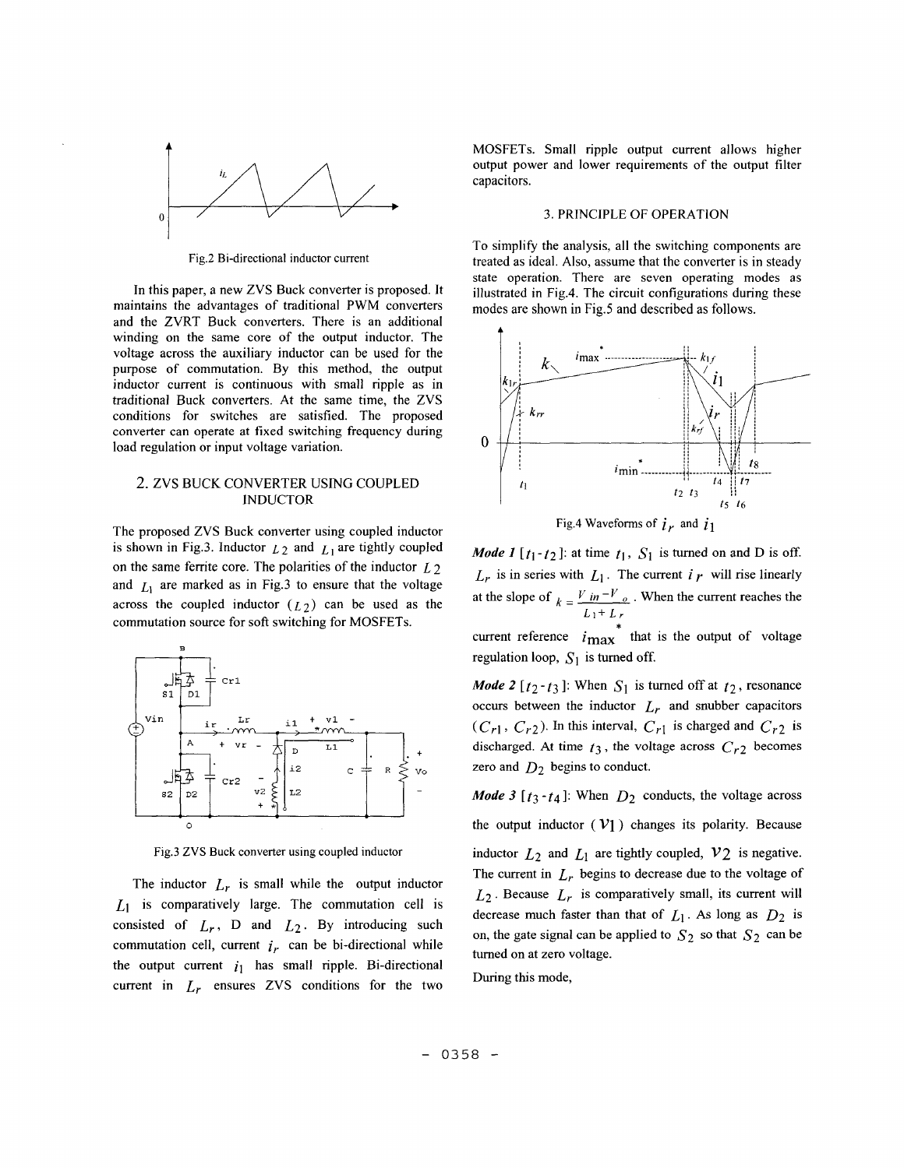

Fig.2 Bi-directional inductor current

In this paper, a new ZVS Buck converter is proposed. It maintains the advantages of traditional PWM converters and the ZVRT Buck converters. There is an additional winding on the same core of the output inductor. The voltage across the auxiliary inductor can be used for the purpose of commutation. By this method, the output inductor current is continuous with small ripple as in traditional Buck converters. At the same time, the ZVS conditions for switches are satisfied. The proposed converter can operate at fixed switching frequency during load regulation **or** input voltage variation.

### 2. ZVS BUCK CONVERTER **USING** COUPLED INDUCTOR

The proposed ZVS Buck converter using coupled inductor is shown in Fig.3. Inductor  $L_2$  and  $L_1$  are tightly coupled on the same femte core. The polarities of the inductor *L* 2 and  $L_1$  are marked as in Fig.3 to ensure that the voltage across the coupled inductor  $(L_2)$  can be used as the commutation source for soft switching for MOSFETs.



Fig.3 **ZVS** Buck converter using coupled inductor

The inductor  $L_r$  is small while the output inductor  $L_1$  is comparatively large. The commutation cell is consisted of  $L_r$ , D and  $L_2$ . By introducing such commutation cell, current  $i<sub>r</sub>$  can be bi-directional while the output current  $i_1$  has small ripple. Bi-directional current in  $L_r$  ensures ZVS conditions for the two MOSFETs. Small ripple output current allows higher output power and lower requirements **of** the output filter capacitors.

### 3. PRINCIPLE OF OPERATION

To simplify the analysis, all the switching components are treated as ideal. Also, assume that the converter **is** in steady state operation. There are seven operating modes as illustrated in Fig.4. The circuit configurations during these modes are shown in Fig.5 and described as follows.



Fig.4 Waveforms of  $i_r$  and  $i_1$ 

*Mode 1*  $[t_1-t_2]$ : at time  $t_1$ ,  $S_1$  is turned on and D is off.  $L_r$  is in series with  $L_1$ . The current  $i_r$  will rise linearly at the slope of  $V = \frac{V \cdot in - V}{2}$ . When the current reaches the  $L_1 + L_r$ 

current reference  $i_{\text{max}}$  that is the output of voltage regulation loop,  $S_1$  is turned off.

*Mode 2*  $[t_2-t_3]$ : When  $S_1$  is turned off at  $t_2$ , resonance occurs between the inductor  $L_r$  and snubber capacitors  $(C_{r1}, C_{r2})$ . In this interval,  $C_{r1}$  is charged and  $C_{r2}$  is discharged. At time  $t_3$ , the voltage across  $C_{r2}$  becomes zero and  $D_2$  begins to conduct.

*Mode 3*  $[t_3 - t_4]$ : When  $D_2$  conducts, the voltage across the output inductor  $(V<sub>1</sub>)$  changes its polarity. Because inductor  $L_2$  and  $L_1$  are tightly coupled,  $V_2$  is negative. The current in  $L_r$  begins to decrease due to the voltage of  $L_2$ . Because  $L_r$  is comparatively small, its current will decrease much faster than that of  $L_1$ . As long as  $D_2$  is on, the gate signal can be applied to  $S_2$  so that  $S_2$  can be turned on at zero voltage.

During this mode,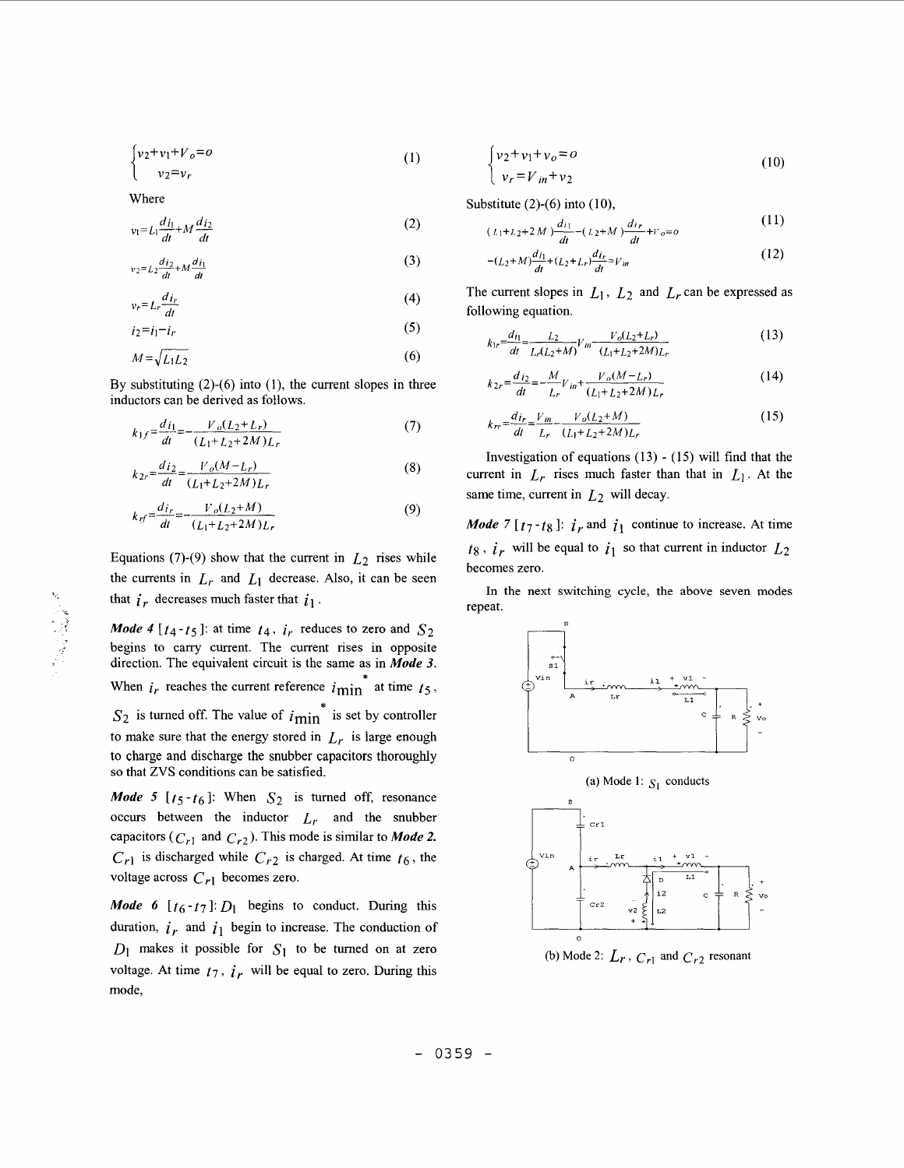$$
\begin{cases} v_2 + v_1 + V_o = o \\ v_2 = v_r \end{cases} \tag{1}
$$

Where

$$
v_1 = L_1 \frac{di_1}{dt} + M \frac{di_2}{dt}
$$
 (2)

$$
v_2 = L_2 \frac{di_2}{dt} + M \frac{di_1}{dt} \tag{3}
$$

$$
v_r = L_r \frac{d_{lr}}{dt} \tag{4}
$$

$$
i_2 = i_1 - i_r \tag{5}
$$

$$
v_r = L_r \frac{dv_r}{dt}
$$
  
\n
$$
i_2 = i_1 - i_r
$$
  
\n
$$
M = \sqrt{L_1 L_2}
$$
  
\n(6)

By substituting  $(2)-(6)$  into  $(1)$ , the current slopes in three inductors can be derived as follows.

$$
k_{1f} = \frac{di_1}{dt} = -\frac{V_o(L_2 + L_r)}{(L_1 + L_2 + 2M)L_r}
$$
 (7)

$$
k_{2r} = \frac{di_2}{dt} = \frac{V_o(M - L_r)}{(L_1 + L_2 + 2M)L_r}
$$
 (8)

$$
k_{rf} = \frac{d_{1r}}{dt} = -\frac{V_o(L_2 + M)}{(L_1 + L_2 + 2M)L_r}
$$
(9)

Equations (7)-(9) show that the current in  $L_2$  rises while the currents in  $L_r$  and  $L_1$  decrease. Also, it can be seen that  $i_r$  decreases much faster that  $i_1$ .

*Mode 4*  $[t_4-t_5]$ : at time  $t_4$ ,  $i_r$  reduces to zero and  $S_2$ begins to carry current. The current rises in opposite direction. The equivalent circuit is the same as in *Mode 3.*  When  $i_r$  reaches the current reference  $i_{\text{min}}^*$  at time  $t_5$ ,  $S_2$  is turned off. The value of  $i_{\text{min}}^*$  is set by controller to make sure that the energy stored in  $L_r$  is large enough to charge and discharge the snubber capacitors thoroughly so that ZVS conditions can be satisfied.

*Mode* 5  $[t_5-t_6]$ : When  $S_2$  is turned off, resonance occurs between the inductor  $L_r$  and the snubber capacitors  $(C_{r1}$  and  $C_{r2}$ ). This mode is similar to *Mode 2*.  $C_{r1}$  is discharged while  $C_{r2}$  is charged. At time  $t_6$ , the voltage across  $C_{r1}$  becomes zero.

*Mode* 6  $[t_6-t_7]$ :  $D_1$  begins to conduct. During this duration,  $i_r$  and  $i_l$  begin to increase. The conduction of  $D_1$  makes it possible for  $S_1$  to be turned on at zero voltage. At time  $t_7$ ,  $i_r$  will be equal to zero. During this mode,

$$
\begin{cases} v_2 + v_1 + v_0 = o \\ v_r = V_{in} + v_2 \end{cases}
$$
 (10)

Substitute  $(2)-(6)$  into  $(10)$ ,

$$
(L_1 + L_2 + 2M) \frac{di_1}{dt} - (L_2 + M) \frac{di_r}{dt} + v_o = o \tag{11}
$$

$$
-(L_2 + M)\frac{di_1}{dt} + (L_2 + L_r)\frac{di_r}{dt} = V_{in}
$$
\n(12)

The current slopes in  $L_1$ ,  $L_2$  and  $L_r$  can be expressed as following equation.

$$
k_{1r} = \frac{di_1}{dt} = \frac{L_2}{L_r(L_2 + M)} V_{in} - \frac{V_o(L_2 + L_r)}{(L_1 + L_2 + 2M)L_r}
$$
(13)

$$
k_{2r} = \frac{d_{i2}}{dt} = -\frac{M}{L_r}V_{in} + \frac{V_o(M - L_r)}{(L_1 + L_2 + 2M)L_r}
$$
 (14)

$$
k_{rr} = \frac{d_{lr}}{dt} = \frac{V_{in}}{L_r} - \frac{V_o(L_2 + M)}{(L_1 + L_2 + 2M)L_r}
$$
 (15)

Investigation of equations (13) - (15) will find that the current in  $L_r$  rises much faster than that in  $L_1$ . At the same time, current in *L2* will decay.

*Mode* 7  $[t_7 - t_8]$ :  $i_r$  and  $i_1$  continue to increase. At time  $t_8$ ,  $i_r$  will be equal to  $i_1$  so that current in inductor  $L_2$ becomes zero.

In the next switching cycle, the above seven modes repeat.



(b) Mode 2:  $L_r$ ,  $C_{r1}$  and  $C_{r2}$  resonant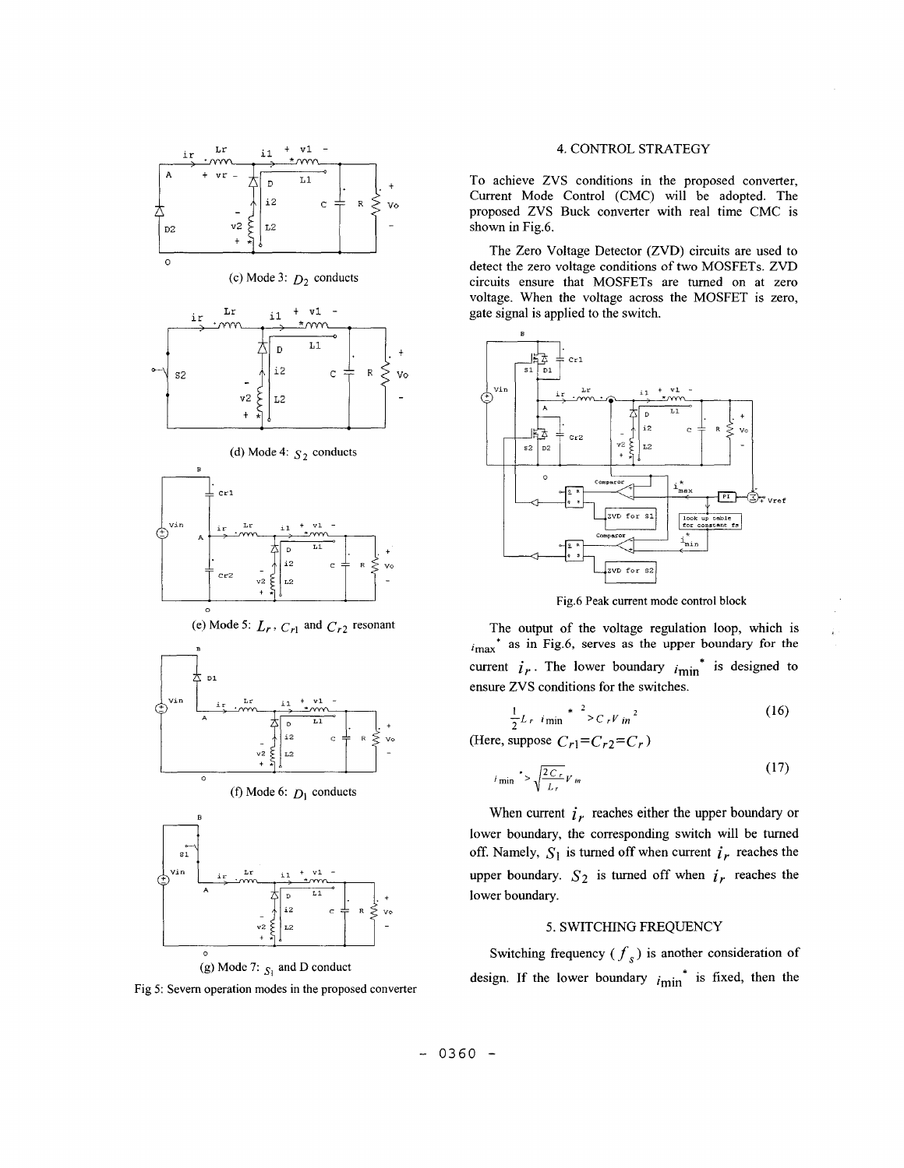

Fig 5: Severn operation modes in the proposed converter

### 4. CONTROL STRATEGY

To achieve ZVS conditions in the proposed converter, Current Mode Control (CMC) will be adopted. The proposed ZVS Buck converter with real time CMC is shown in Fig.6.

The Zero Voltage Detector (ZVD) circuits are used to detect the zero voltage conditions of two MOSFETs. ZVD circuits ensure that- MOSFETs are turned on at zero voltage. When the voltage across the MOSFET is zero, gate signal is applied to the switch.



Fig.6 Peak current mode control block

The output of the voltage regulation loop, which is  $i_{\text{max}}$ <sup>\*</sup> as in Fig.6, serves as the upper boundary for the current  $i_r$ . The lower boundary  $i_{\text{min}}^*$  is designed to ensure ZVS conditions for the switches.

$$
\frac{1}{2}L_r i_{\min}^* \xrightarrow{e} C_r V_{in}^2
$$
 (16)

(Here, suppose  $C_{r1} = C_{r2} = C_r$ )

 $\boldsymbol{i}$ 

$$
\min \frac{1}{\sqrt{\frac{2C_L}{L_r}} V_m} \tag{17}
$$

When current  $i<sub>r</sub>$  reaches either the upper boundary or lower boundary, the corresponding switch will be turned off. Namely,  $S_1$  is turned off when current  $i_r$  reaches the upper boundary.  $S_2$  is turned off when  $i_r$  reaches the lower boundary.

#### *5.* SWITCHING FREQUENCY

Switching frequency  $(f_s)$  is another consideration of design. If the lower boundary  $i_{\text{min}}^*$  is fixed, then the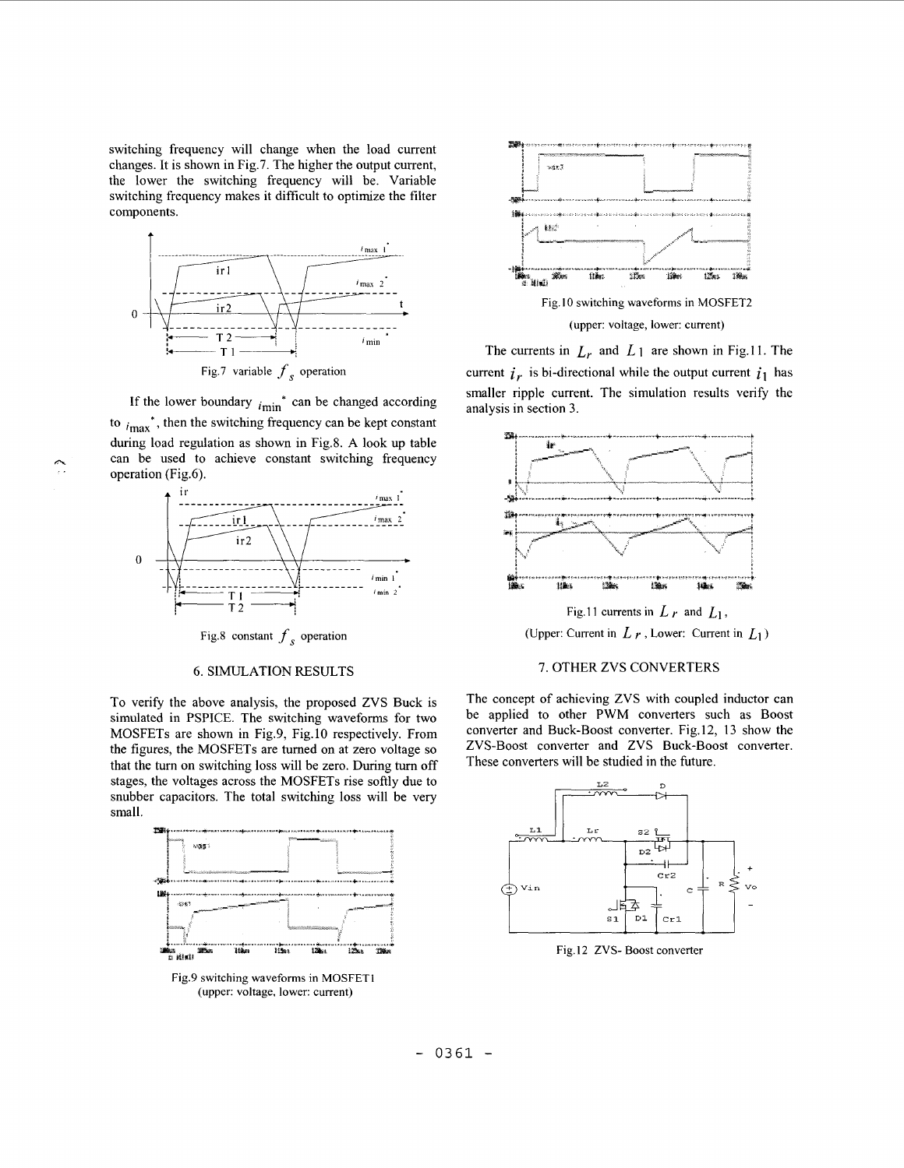switching frequency will change when the load current changes. It is shown in Fig.7. The higher the output current, the lower the switching frequency will be. Variable switching frequency makes it difficult to optimize the filter components.



If the lower boundary  $i_{\text{min}}^*$  can be changed according to  $_{i_{\text{max}}}$ , then the switching frequency can be kept constant during load regulation as shown in Fig.8. A look up table **fi can be used to achieve constant switching frequency oneration (Fig. 6)** operation (Fig.6).



#### 6. SIMULATION RESULTS

To verify the above analysis, the proposed ZVS Buck is simulated in PSPICE. The switching waveforms for two MOSFETs are shown in Fig.9, Fig.10 respectively. From the figures, the MOSFETs are turned on at zero voltage so that the turn on switching loss will be zero. During turn off stages, the voltages across the MOSFETs rise softly due to snubber capacitors. The total switching loss will be very small.



Fig.9 switching waveforms in MOSFETl (upper: voltage, lower: current)



The currents in  $L_r$  and  $L_1$  are shown in [Fig.](#page-0-0) 11. The current  $i<sub>r</sub>$  is bi-directional while the output current  $i<sub>1</sub>$  has smaller ripple current. The simulation results verify the analysis in section **3.** 



(Upper: Current in  $L_f$ , Lower: Current in  $L_1$ )

## 7. OTHER ZVS CONVERTERS

The concept of achieving ZVS with coupled inductor can be applied to other PWM converters such as Boost converter and Buck-Boost converter. Fig.12, 13 show the ZVS-Boost converter and ZVS Buck-Boost converter. These converters will be studied in the future.



Fig. *12* ZVS- Boost converter